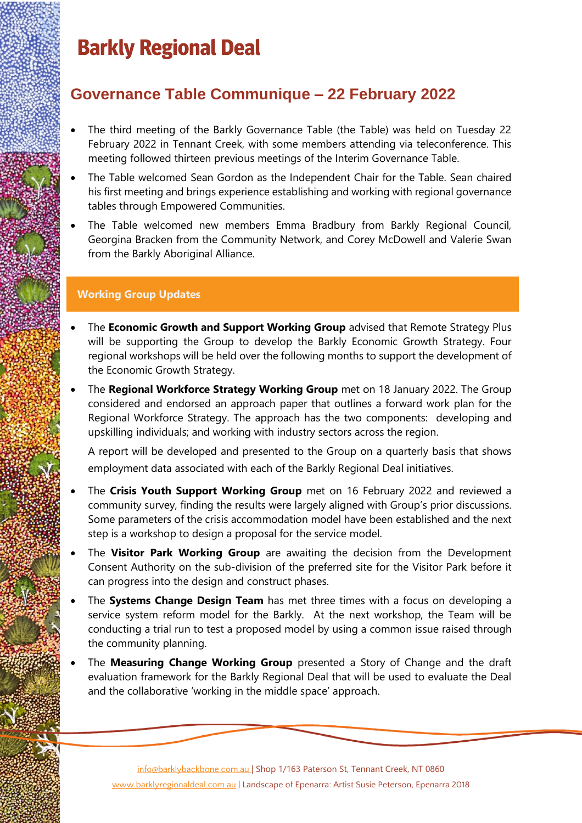### **Barkly Regional Deal**

### **Governance Table Communique – 22 February 2022**

- The third meeting of the Barkly Governance Table (the Table) was held on Tuesday 22 February 2022 in Tennant Creek, with some members attending via teleconference. This meeting followed thirteen previous meetings of the Interim Governance Table.
- The Table welcomed Sean Gordon as the Independent Chair for the Table. Sean chaired his first meeting and brings experience establishing and working with regional governance tables through Empowered Communities.
- The Table welcomed new members Emma Bradbury from Barkly Regional Council, Georgina Bracken from the Community Network, and Corey McDowell and Valerie Swan from the Barkly Aboriginal Alliance.

### **Working Group Updates**

- The **Economic Growth and Support Working Group** advised that Remote Strategy Plus will be supporting the Group to develop the Barkly Economic Growth Strategy. Four regional workshops will be held over the following months to support the development of the Economic Growth Strategy.
- The **Regional Workforce Strategy Working Group** met on 18 January 2022. The Group considered and endorsed an approach paper that outlines a forward work plan for the Regional Workforce Strategy. The approach has the two components: developing and upskilling individuals; and working with industry sectors across the region.

A report will be developed and presented to the Group on a quarterly basis that shows employment data associated with each of the Barkly Regional Deal initiatives.

- The **Crisis Youth Support Working Group** met on 16 February 2022 and reviewed a community survey, finding the results were largely aligned with Group's prior discussions. Some parameters of the crisis accommodation model have been established and the next step is a workshop to design a proposal for the service model.
- The Visitor Park Working Group are awaiting the decision from the Development Consent Authority on the sub-division of the preferred site for the Visitor Park before it can progress into the design and construct phases.
- The **Systems Change Design Team** has met three times with a focus on developing a service system reform model for the Barkly. At the next workshop, the Team will be conducting a trial run to test a proposed model by using a common issue raised through the community planning.
- The **Measuring Change Working Group** presented a Story of Change and the draft evaluation framework for the Barkly Regional Deal that will be used to evaluate the Deal and the collaborative 'working in the middle space' approach.

[info@barklybackbone.com.au](mailto:info@barklybackbone.com.au) | Shop 1/163 Paterson St, Tennant Creek, NT 0860 [www.barklyregionaldeal.com.au](http://www.barklyregionaldeal.com.au/) | Landscape of Epenarra: Artist Susie Peterson, Epenarra 2018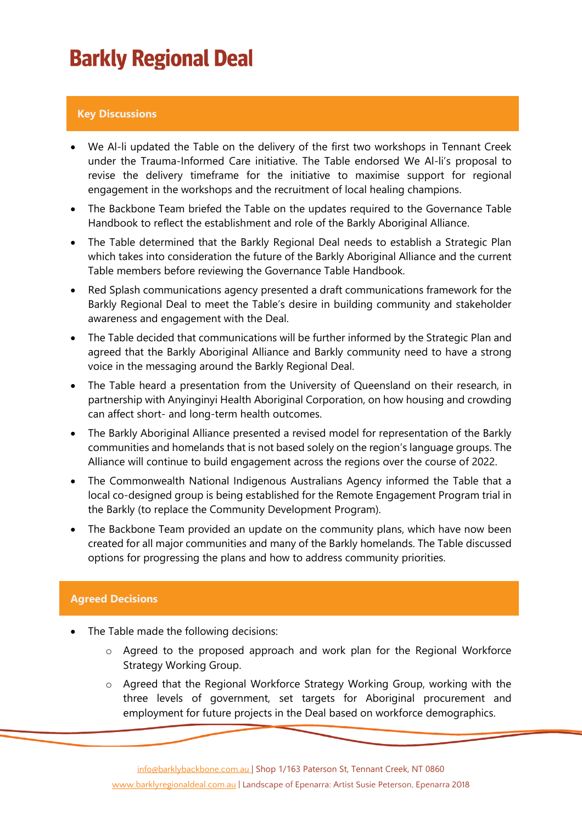## **Barkly Regional Deal**

#### **Key Discussions**

- We Al-li updated the Table on the delivery of the first two workshops in Tennant Creek under the Trauma-Informed Care initiative. The Table endorsed We Al-li's proposal to revise the delivery timeframe for the initiative to maximise support for regional engagement in the workshops and the recruitment of local healing champions.
- The Backbone Team briefed the Table on the updates required to the Governance Table Handbook to reflect the establishment and role of the Barkly Aboriginal Alliance.
- The Table determined that the Barkly Regional Deal needs to establish a Strategic Plan which takes into consideration the future of the Barkly Aboriginal Alliance and the current Table members before reviewing the Governance Table Handbook.
- Red Splash communications agency presented a draft communications framework for the Barkly Regional Deal to meet the Table's desire in building community and stakeholder awareness and engagement with the Deal.
- The Table decided that communications will be further informed by the Strategic Plan and agreed that the Barkly Aboriginal Alliance and Barkly community need to have a strong voice in the messaging around the Barkly Regional Deal.
- The Table heard a presentation from the University of Queensland on their research, in partnership with Anyinginyi Health Aboriginal Corporation, on how housing and crowding can affect short- and long-term health outcomes.
- The Barkly Aboriginal Alliance presented a revised model for representation of the Barkly communities and homelands that is not based solely on the region's language groups. The Alliance will continue to build engagement across the regions over the course of 2022.
- The Commonwealth National Indigenous Australians Agency informed the Table that a local co-designed group is being established for the Remote Engagement Program trial in the Barkly (to replace the Community Development Program).
- The Backbone Team provided an update on the community plans, which have now been created for all major communities and many of the Barkly homelands. The Table discussed options for progressing the plans and how to address community priorities.

#### **Agreed Decisions**

- The Table made the following decisions:
	- o Agreed to the proposed approach and work plan for the Regional Workforce Strategy Working Group.
	- o Agreed that the Regional Workforce Strategy Working Group, working with the three levels of government, set targets for Aboriginal procurement and employment for future projects in the Deal based on workforce demographics.